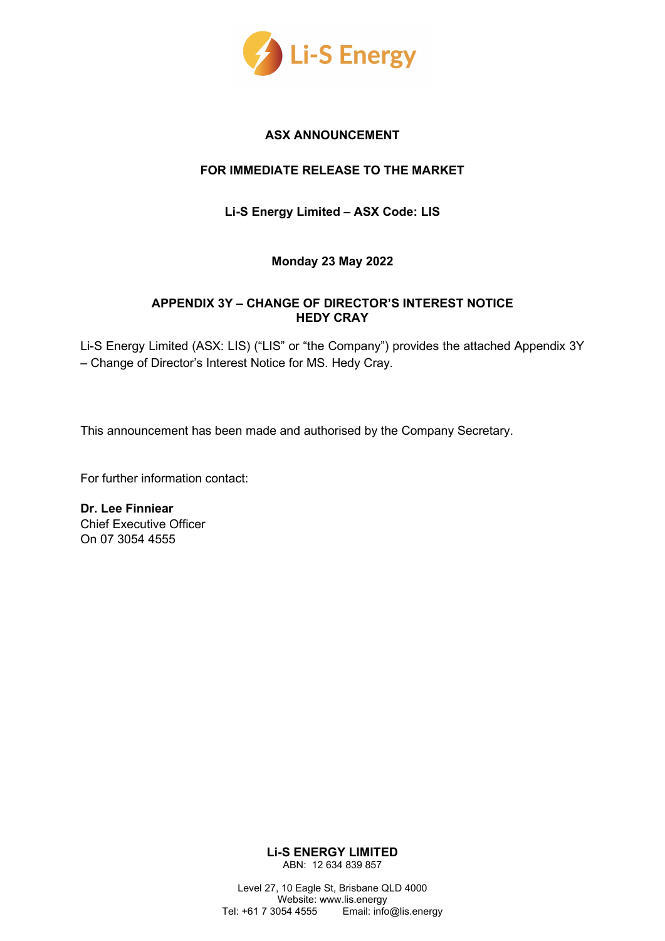

# **ASX ANNOUNCEMENT**

# **FOR IMMEDIATE RELEASE TO THE MARKET**

**Li-S Energy Limited – ASX Code: LIS**

# **Monday 23 May 2022**

### **APPENDIX 3Y – CHANGE OF DIRECTOR'S INTEREST NOTICE HEDY CRAY**

Li-S Energy Limited (ASX: LIS) ("LIS" or "the Company") provides the attached Appendix 3Y – Change of Director's Interest Notice for MS. Hedy Cray.

This announcement has been made and authorised by the Company Secretary.

For further information contact:

**Dr. Lee Finniear**  Chief Executive Officer On 07 3054 4555

> **Li-S ENERGY LIMITED** ABN: 12 634 839 857

Level 27, 10 Eagle St, Brisbane QLD 4000 Website: www.lis.energy Tel: +61 7 3054 4555 Email: info@lis.energy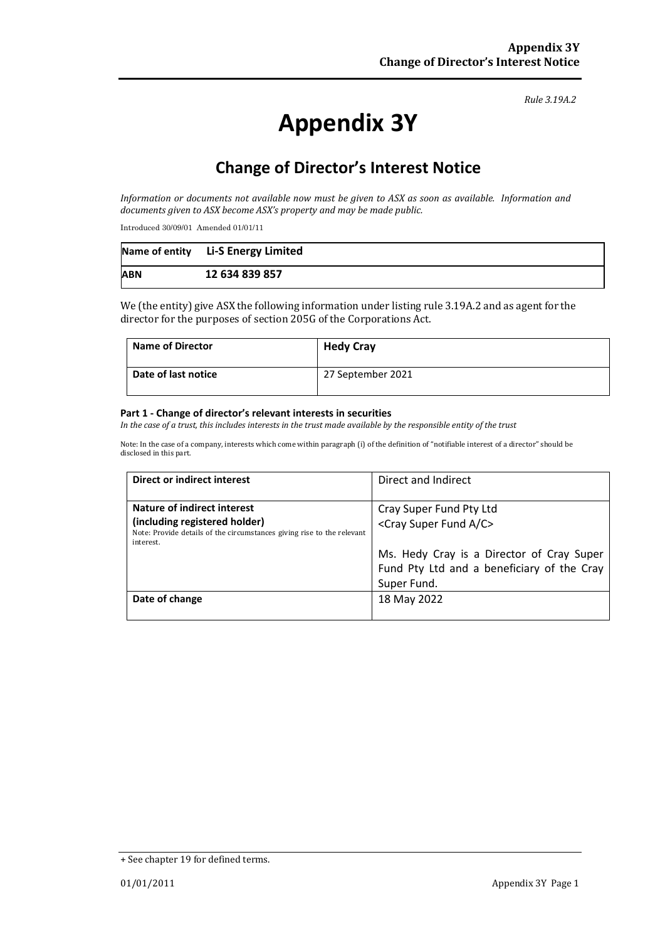### *Rule 3.19A.2*

# **Appendix 3Y**

# **Change of Director's Interest Notice**

*Information or documents not available now must be given to ASX as soon as available. Information and documents given to ASX become ASX's property and may be made public.*

Introduced 30/09/01 Amended 01/01/11

|            | Name of entity Li-S Energy Limited |
|------------|------------------------------------|
| <b>ABN</b> | 12 634 839 857                     |

We (the entity) give ASX the following information under listing rule 3.19A.2 and as agent for the director for the purposes of section 205G of the Corporations Act.

| <b>Name of Director</b> | <b>Hedy Cray</b>  |
|-------------------------|-------------------|
| Date of last notice     | 27 September 2021 |

### **Part 1 - Change of director's relevant interests in securities**

*In the case of a trust, this includes interests in the trust made available by the responsible entity of the trust*

Note: In the case of a company, interests which come within paragraph (i) of the definition of "notifiable interest of a director" should be disclosed in this part.

| Direct or indirect interest                                                                                                                         | Direct and Indirect                                                                                                                                              |
|-----------------------------------------------------------------------------------------------------------------------------------------------------|------------------------------------------------------------------------------------------------------------------------------------------------------------------|
| Nature of indirect interest<br>(including registered holder)<br>Note: Provide details of the circumstances giving rise to the relevant<br>interest. | Cray Super Fund Pty Ltd<br><cray a="" c="" fund="" super=""><br/>Ms. Hedy Cray is a Director of Cray Super<br/>Fund Pty Ltd and a beneficiary of the Cray</cray> |
| Date of change                                                                                                                                      | Super Fund.<br>18 May 2022                                                                                                                                       |

<sup>+</sup> See chapter 19 for defined terms.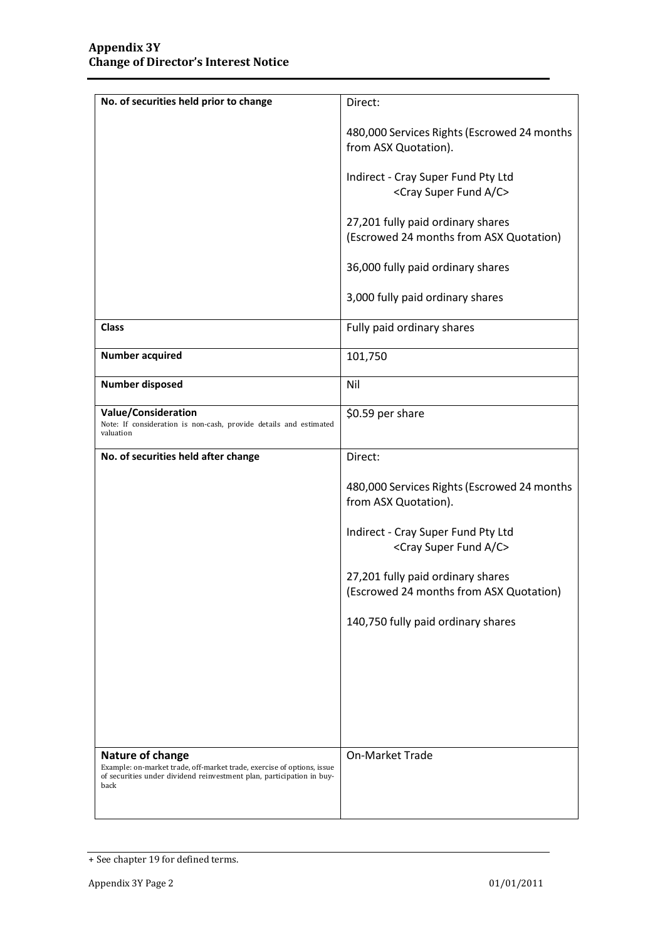| No. of securities held prior to change                                                                                                                                      | Direct:                                                                        |
|-----------------------------------------------------------------------------------------------------------------------------------------------------------------------------|--------------------------------------------------------------------------------|
|                                                                                                                                                                             | 480,000 Services Rights (Escrowed 24 months<br>from ASX Quotation).            |
|                                                                                                                                                                             | Indirect - Cray Super Fund Pty Ltd<br><cray a="" c="" fund="" super=""></cray> |
|                                                                                                                                                                             | 27,201 fully paid ordinary shares<br>(Escrowed 24 months from ASX Quotation)   |
|                                                                                                                                                                             | 36,000 fully paid ordinary shares                                              |
|                                                                                                                                                                             | 3,000 fully paid ordinary shares                                               |
| <b>Class</b>                                                                                                                                                                | Fully paid ordinary shares                                                     |
| <b>Number acquired</b>                                                                                                                                                      | 101,750                                                                        |
| <b>Number disposed</b>                                                                                                                                                      | Nil                                                                            |
| <b>Value/Consideration</b><br>Note: If consideration is non-cash, provide details and estimated<br>valuation                                                                | \$0.59 per share                                                               |
| No. of securities held after change                                                                                                                                         | Direct:                                                                        |
|                                                                                                                                                                             | 480,000 Services Rights (Escrowed 24 months<br>from ASX Quotation).            |
|                                                                                                                                                                             | Indirect - Cray Super Fund Pty Ltd<br><cray a="" c="" fund="" super=""></cray> |
|                                                                                                                                                                             | 27,201 fully paid ordinary shares<br>(Escrowed 24 months from ASX Quotation)   |
|                                                                                                                                                                             | 140,750 fully paid ordinary shares                                             |
|                                                                                                                                                                             |                                                                                |
|                                                                                                                                                                             |                                                                                |
|                                                                                                                                                                             |                                                                                |
| Nature of change<br>Example: on-market trade, off-market trade, exercise of options, issue<br>of securities under dividend reinvestment plan, participation in buy-<br>back | On-Market Trade                                                                |
|                                                                                                                                                                             |                                                                                |

<sup>+</sup> See chapter 19 for defined terms.